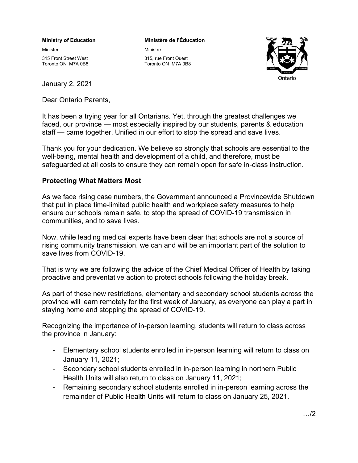#### **Ministry of Education**

Minister

315 Front Street West Toronto ON M7A 0B8

January 2, 2021

Dear Ontario Parents,

**Ministère de l'Éducation** Ministre





It has been a trying year for all Ontarians. Yet, through the greatest challenges we faced, our province — most especially inspired by our students, parents & education staff — came together. Unified in our effort to stop the spread and save lives.

Thank you for your dedication. We believe so strongly that schools are essential to the well-being, mental health and development of a child, and therefore, must be safeguarded at all costs to ensure they can remain open for safe in-class instruction.

# **Protecting What Matters Most**

As we face rising case numbers, the Government announced a Provincewide Shutdown that put in place time-limited public health and workplace safety measures to help ensure our schools remain safe, to stop the spread of COVID-19 transmission in communities, and to save lives.

Now, while leading medical experts have been clear that schools are not a source of rising community transmission, we can and will be an important part of the solution to save lives from COVID-19.

That is why we are following the advice of the Chief Medical Officer of Health by taking proactive and preventative action to protect schools following the holiday break.

As part of these new restrictions, elementary and secondary school students across the province will learn remotely for the first week of January, as everyone can play a part in staying home and stopping the spread of COVID-19.

Recognizing the importance of in-person learning, students will return to class across the province in January:

- Elementary school students enrolled in in-person learning will return to class on January 11, 2021;
- Secondary school students enrolled in in-person learning in northern Public Health Units will also return to class on January 11, 2021;
- Remaining secondary school students enrolled in in-person learning across the remainder of Public Health Units will return to class on January 25, 2021.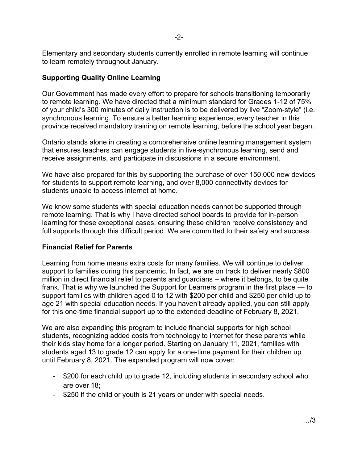Elementary and secondary students currently enrolled in remote learning will continue to learn remotely throughout January.

## **Supporting Quality Online Learning**

Our Government has made every effort to prepare for schools transitioning temporarily to remote learning. We have directed that a minimum standard for Grades 1-12 of 75% of your child's 300 minutes of daily instruction is to be delivered by live "Zoom-style" (i.e. synchronous learning. To ensure a better learning experience, every teacher in this province received mandatory training on remote learning, before the school year began.

Ontario stands alone in creating a comprehensive online learning management system that ensures teachers can engage students in live-synchronous learning, send and receive assignments, and participate in discussions in a secure environment.

We have also prepared for this by supporting the purchase of over 150,000 new devices for students to support remote learning, and over 8,000 connectivity devices for students unable to access internet at home.

We know some students with special education needs cannot be supported through remote learning. That is why I have directed school boards to provide for in-person learning for these exceptional cases, ensuring these children receive consistency and full supports through this difficult period. We are committed to their safety and success.

# **Financial Relief for Parents**

Learning from home means extra costs for many families. We will continue to deliver support to families during this pandemic. In fact, we are on track to deliver nearly \$800 million in direct financial relief to parents and guardians – where it belongs, to be quite frank. That is why we launched the Support for Learners program in the first place — to support families with children aged 0 to 12 with \$200 per child and \$250 per child up to age 21 with special education needs. If you haven't already applied, you can still apply for this one-time financial support up to the extended deadline of February 8, 2021.

We are also expanding this program to include financial supports for high school students, recognizing added costs from technology to internet for these parents while their kids stay home for a longer period. Starting on January 11, 2021, families with students aged 13 to grade 12 can apply for a one-time payment for their children up until February 8, 2021. The expanded program will now cover:

- \$200 for each child up to grade 12, including students in secondary school who are over 18;
- \$250 if the child or youth is 21 years or under with special needs.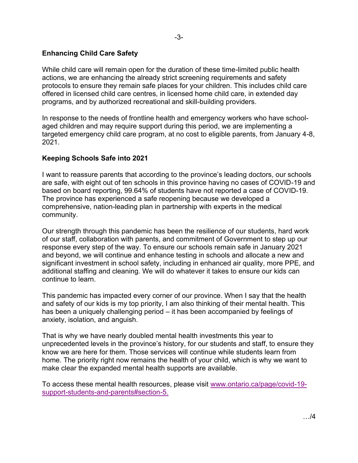## **Enhancing Child Care Safety**

While child care will remain open for the duration of these time-limited public health actions, we are enhancing the already strict screening requirements and safety protocols to ensure they remain safe places for your children. This includes child care offered in licensed child care centres, in licensed home child care, in extended day programs, and by authorized recreational and skill-building providers.

In response to the needs of frontline health and emergency workers who have schoolaged children and may require support during this period, we are implementing a targeted emergency child care program, at no cost to eligible parents, from January 4-8, 2021.

### **Keeping Schools Safe into 2021**

I want to reassure parents that according to the province's leading doctors, our schools are safe, with eight out of ten schools in this province having no cases of COVID-19 and based on board reporting, 99.64% of students have not reported a case of COVID-19. The province has experienced a safe reopening because we developed a comprehensive, nation-leading plan in partnership with experts in the medical community.

Our strength through this pandemic has been the resilience of our students, hard work of our staff, collaboration with parents, and commitment of Government to step up our response every step of the way. To ensure our schools remain safe in January 2021 and beyond, we will continue and enhance testing in schools and allocate a new and significant investment in school safety, including in enhanced air quality, more PPE, and additional staffing and cleaning. We will do whatever it takes to ensure our kids can continue to learn.

This pandemic has impacted every corner of our province. When I say that the health and safety of our kids is my top priority, I am also thinking of their mental health. This has been a uniquely challenging period – it has been accompanied by feelings of anxiety, isolation, and anguish.

That is why we have nearly doubled mental health investments this year to unprecedented levels in the province's history, for our students and staff, to ensure they know we are here for them. Those services will continue while students learn from home. The priority right now remains the health of your child, which is why we want to make clear the expanded mental health supports are available.

[To access these mental health resources, please visit www.ontario.ca/page/covid-19](http://www.ontario.ca/page/covid-19-support-students-and-parents#section-5) support-students-and-parents#section-5.